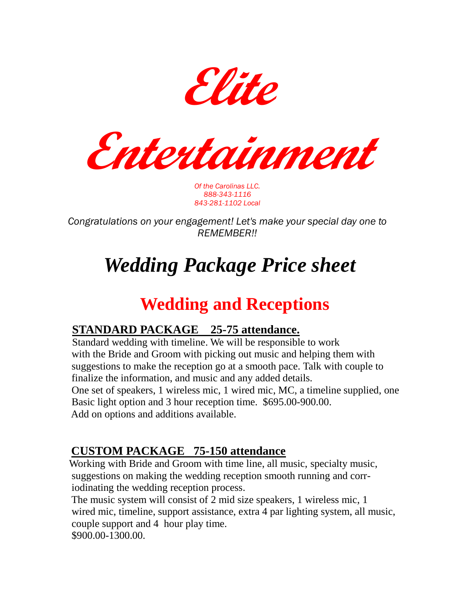**Elite**

**Entertainment**

*Of the Carolinas LLC. 888-343-1116 843-281-1102 Local*

*Congratulations on your engagement! Let's make your special day one to REMEMBER!!*

# *Wedding Package Price sheet*

# **Wedding and Receptions**

#### **STANDARD PACKAGE 25-75 attendance.**

 Standard wedding with timeline. We will be responsible to work with the Bride and Groom with picking out music and helping them with suggestions to make the reception go at a smooth pace. Talk with couple to finalize the information, and music and any added details. One set of speakers, 1 wireless mic, 1 wired mic, MC, a timeline supplied, one Basic light option and 3 hour reception time. \$695.00-900.00. Add on options and additions available.

#### **CUSTOM PACKAGE 75-150 attendance**

Working with Bride and Groom with time line, all music, specialty music, suggestions on making the wedding reception smooth running and corr iodinating the wedding reception process.

 The music system will consist of 2 mid size speakers, 1 wireless mic, 1 wired mic, timeline, support assistance, extra 4 par lighting system, all music, couple support and 4 hour play time. \$900.00-1300.00.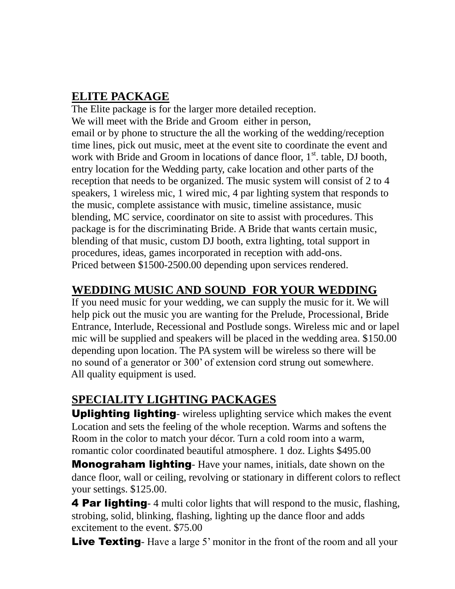#### **ELITE PACKAGE**

 The Elite package is for the larger more detailed reception. We will meet with the Bride and Groom either in person, email or by phone to structure the all the working of the wedding/reception time lines, pick out music, meet at the event site to coordinate the event and work with Bride and Groom in locations of dance floor,  $1<sup>st</sup>$  table, DJ booth, entry location for the Wedding party, cake location and other parts of the reception that needs to be organized. The music system will consist of 2 to 4 speakers, 1 wireless mic, 1 wired mic, 4 par lighting system that responds to the music, complete assistance with music, timeline assistance, music blending, MC service, coordinator on site to assist with procedures. This package is for the discriminating Bride. A Bride that wants certain music, blending of that music, custom DJ booth, extra lighting, total support in procedures, ideas, games incorporated in reception with add-ons. Priced between \$1500-2500.00 depending upon services rendered.

#### **WEDDING MUSIC AND SOUND FOR YOUR WEDDING**

 If you need music for your wedding, we can supply the music for it. We will help pick out the music you are wanting for the Prelude, Processional, Bride Entrance, Interlude, Recessional and Postlude songs. Wireless mic and or lapel mic will be supplied and speakers will be placed in the wedding area. \$150.00 depending upon location. The PA system will be wireless so there will be no sound of a generator or 300' of extension cord strung out somewhere. All quality equipment is used.

## **SPECIALITY LIGHTING PACKAGES**

 Uplighting lighting- wireless uplighting service which makes the event Location and sets the feeling of the whole reception. Warms and softens the Room in the color to match your décor. Turn a cold room into a warm, romantic color coordinated beautiful atmosphere. 1 doz. Lights \$495.00

**Monograham lighting**- Have your names, initials, date shown on the dance floor, wall or ceiling, revolving or stationary in different colors to reflect your settings. \$125.00.

4 Par lighting- 4 multi color lights that will respond to the music, flashing, strobing, solid, blinking, flashing, lighting up the dance floor and adds excitement to the event. \$75.00

**Live Texting**- Have a large 5' monitor in the front of the room and all your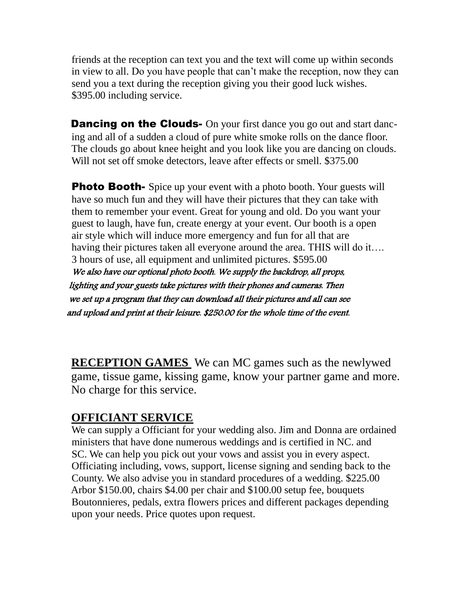friends at the reception can text you and the text will come up within seconds in view to all. Do you have people that can't make the reception, now they can send you a text during the reception giving you their good luck wishes. \$395.00 including service.

**Dancing on the Clouds-** On your first dance you go out and start danc ing and all of a sudden a cloud of pure white smoke rolls on the dance floor. The clouds go about knee height and you look like you are dancing on clouds. Will not set off smoke detectors, leave after effects or smell. \$375.00

**Photo Booth-** Spice up your event with a photo booth. Your guests will have so much fun and they will have their pictures that they can take with them to remember your event. Great for young and old. Do you want your guest to laugh, have fun, create energy at your event. Our booth is a open air style which will induce more emergency and fun for all that are having their pictures taken all everyone around the area. THIS will do it…. 3 hours of use, all equipment and unlimited pictures. \$595.00 We also have our optional photo booth. We supply the backdrop, all props, lighting and your guests take pictures with their phones and cameras. Then we set up a program that they can download all their pictures and all can see and upload and print at their leisure. \$250.00 for the whole time of the event.

**RECEPTION GAMES** We can MC games such as the newlywed game, tissue game, kissing game, know your partner game and more. No charge for this service.

#### **OFFICIANT SERVICE**

We can supply a Officiant for your wedding also. Jim and Donna are ordained ministers that have done numerous weddings and is certified in NC. and SC. We can help you pick out your vows and assist you in every aspect. Officiating including, vows, support, license signing and sending back to the County. We also advise you in standard procedures of a wedding. \$225.00 Arbor \$150.00, chairs \$4.00 per chair and \$100.00 setup fee, bouquets Boutonnieres, pedals, extra flowers prices and different packages depending upon your needs. Price quotes upon request.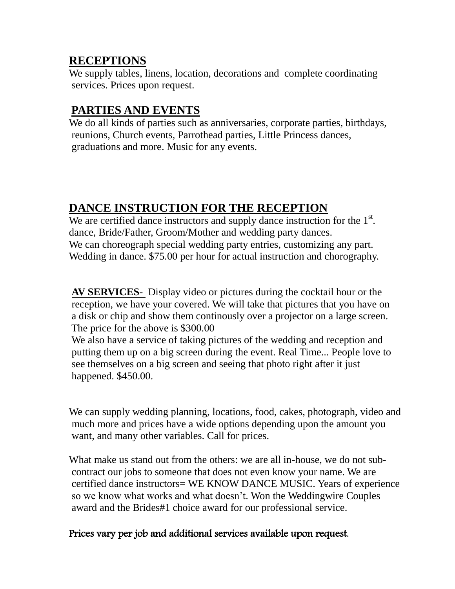#### **RECEPTIONS**

 We supply tables, linens, location, decorations and complete coordinating services. Prices upon request.

#### **PARTIES AND EVENTS**

We do all kinds of parties such as anniversaries, corporate parties, birthdays, reunions, Church events, Parrothead parties, Little Princess dances, graduations and more. Music for any events.

#### **DANCE INSTRUCTION FOR THE RECEPTION**

We are certified dance instructors and supply dance instruction for the 1<sup>st</sup>. dance, Bride/Father, Groom/Mother and wedding party dances. We can choreograph special wedding party entries, customizing any part. Wedding in dance. \$75.00 per hour for actual instruction and chorography.

 **AV SERVICES-** Display video or pictures during the cocktail hour or the reception, we have your covered. We will take that pictures that you have on a disk or chip and show them continously over a projector on a large screen. The price for the above is \$300.00

 We also have a service of taking pictures of the wedding and reception and putting them up on a big screen during the event. Real Time... People love to see themselves on a big screen and seeing that photo right after it just happened. \$450.00.

 We can supply wedding planning, locations, food, cakes, photograph, video and much more and prices have a wide options depending upon the amount you want, and many other variables. Call for prices.

 What make us stand out from the others: we are all in-house, we do not sub contract our jobs to someone that does not even know your name. We are certified dance instructors= WE KNOW DANCE MUSIC. Years of experience so we know what works and what doesn't. Won the Weddingwire Couples award and the Brides#1 choice award for our professional service.

#### Prices vary per job and additional services available upon request.